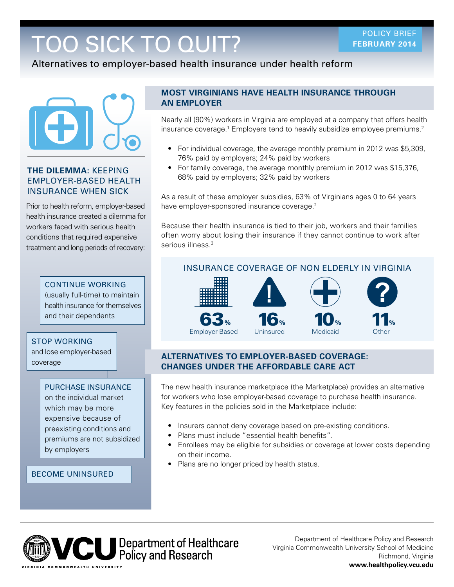# TOO SICK TO QUIT?

Alternatives to employer-based health insurance under health reform



### **THE DILEMMA:** KEEPING EMPLOYER-BASED HEALTH INSURANCE WHEN SICK

Prior to health reform, employer-based health insurance created a dilemma for workers faced with serious health conditions that required expensive treatment and long periods of recovery:

## CONTINUE WORKING

(usually full-time) to maintain health insurance for themselves and their dependents

### STOP WORKING

and lose employer-based coverage

### PURCHASE INSURANCE

on the individual market which may be more expensive because of preexisting conditions and premiums are not subsidized by employers

### BECOME UNINSURED

### **MOST VIRGINIANS HAVE HEALTH INSURANCE THROUGH AN EMPLOYER**

Nearly all (90%) workers in Virginia are employed at a company that offers health insurance coverage.<sup>1</sup> Employers tend to heavily subsidize employee premiums.<sup>2</sup>

- For individual coverage, the average monthly premium in 2012 was \$5,309, 76% paid by employers; 24% paid by workers
- For family coverage, the average monthly premium in 2012 was \$15,376, 68% paid by employers; 32% paid by workers

As a result of these employer subsidies, 63% of Virginians ages 0 to 64 years have employer-sponsored insurance coverage.<sup>2</sup>

Because their health insurance is tied to their job, workers and their families often worry about losing their insurance if they cannot continue to work after serious illness.<sup>3</sup>

# **! ?** 63% 16% 10% 11% Employer-Based Uninsured Medicaid

### **ALTERNATIVES TO EMPLOYER-BASED COVERAGE: CHANGES UNDER THE AFFORDABLE CARE ACT**

The new health insurance marketplace (the Marketplace) provides an alternative for workers who lose employer-based coverage to purchase health insurance. Key features in the policies sold in the Marketplace include:

- Insurers cannot deny coverage based on pre-existing conditions.
- Plans must include "essential health benefits".
- Enrollees may be eligible for subsidies or coverage at lower costs depending on their income.
- Plans are no longer priced by health status.



Department of Healthcare Policy and Research Virginia Commonwealth University School of Medicine Richmond, Virginia **<www.healthpolicy.vcu.edu>** 

# INSURANCE COVERAGE OF NON ELDERLY IN VIRGINIA